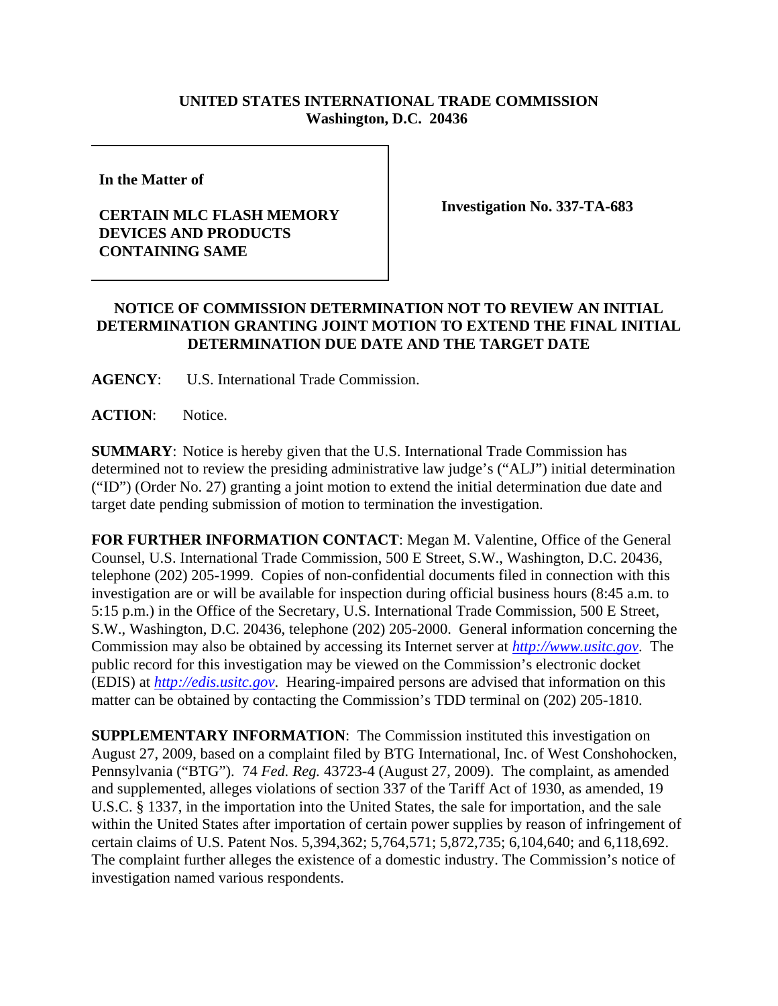## **UNITED STATES INTERNATIONAL TRADE COMMISSION Washington, D.C. 20436**

**In the Matter of** 

## **CERTAIN MLC FLASH MEMORY DEVICES AND PRODUCTS CONTAINING SAME**

**Investigation No. 337-TA-683**

## **NOTICE OF COMMISSION DETERMINATION NOT TO REVIEW AN INITIAL DETERMINATION GRANTING JOINT MOTION TO EXTEND THE FINAL INITIAL DETERMINATION DUE DATE AND THE TARGET DATE**

**AGENCY**: U.S. International Trade Commission.

**ACTION**: Notice.

**SUMMARY**: Notice is hereby given that the U.S. International Trade Commission has determined not to review the presiding administrative law judge's ("ALJ") initial determination ("ID") (Order No. 27) granting a joint motion to extend the initial determination due date and target date pending submission of motion to termination the investigation.

**FOR FURTHER INFORMATION CONTACT**: Megan M. Valentine, Office of the General Counsel, U.S. International Trade Commission, 500 E Street, S.W., Washington, D.C. 20436, telephone (202) 205-1999. Copies of non-confidential documents filed in connection with this investigation are or will be available for inspection during official business hours (8:45 a.m. to 5:15 p.m.) in the Office of the Secretary, U.S. International Trade Commission, 500 E Street, S.W., Washington, D.C. 20436, telephone (202) 205-2000. General information concerning the Commission may also be obtained by accessing its Internet server at *http://www.usitc.gov*. The public record for this investigation may be viewed on the Commission's electronic docket (EDIS) at *http://edis.usitc.gov*. Hearing-impaired persons are advised that information on this matter can be obtained by contacting the Commission's TDD terminal on (202) 205-1810.

**SUPPLEMENTARY INFORMATION**: The Commission instituted this investigation on August 27, 2009, based on a complaint filed by BTG International, Inc. of West Conshohocken, Pennsylvania ("BTG"). 74 *Fed. Reg.* 43723-4 (August 27, 2009). The complaint, as amended and supplemented, alleges violations of section 337 of the Tariff Act of 1930, as amended, 19 U.S.C. § 1337, in the importation into the United States, the sale for importation, and the sale within the United States after importation of certain power supplies by reason of infringement of certain claims of U.S. Patent Nos. 5,394,362; 5,764,571; 5,872,735; 6,104,640; and 6,118,692. The complaint further alleges the existence of a domestic industry. The Commission's notice of investigation named various respondents.